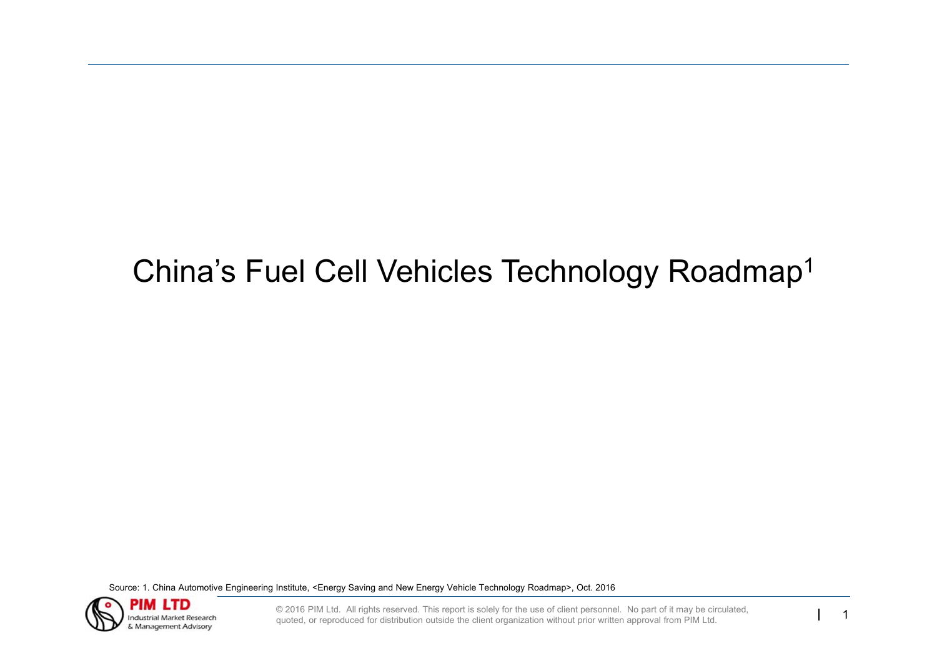# China's Fuel Cell Vehicles Technology Roadmap<sup>1</sup>

Source: 1. China Automotive Engineering Institute, <Energy Saving and New Energy Vehicle Technology Roadmap>, Oct. 2016



© 2016 PIM Ltd. All rights reserved. This report is solely for the use of client personnel. No part of it may be circulated, quoted, or reproduced for distribution outside the client organization without prior written appr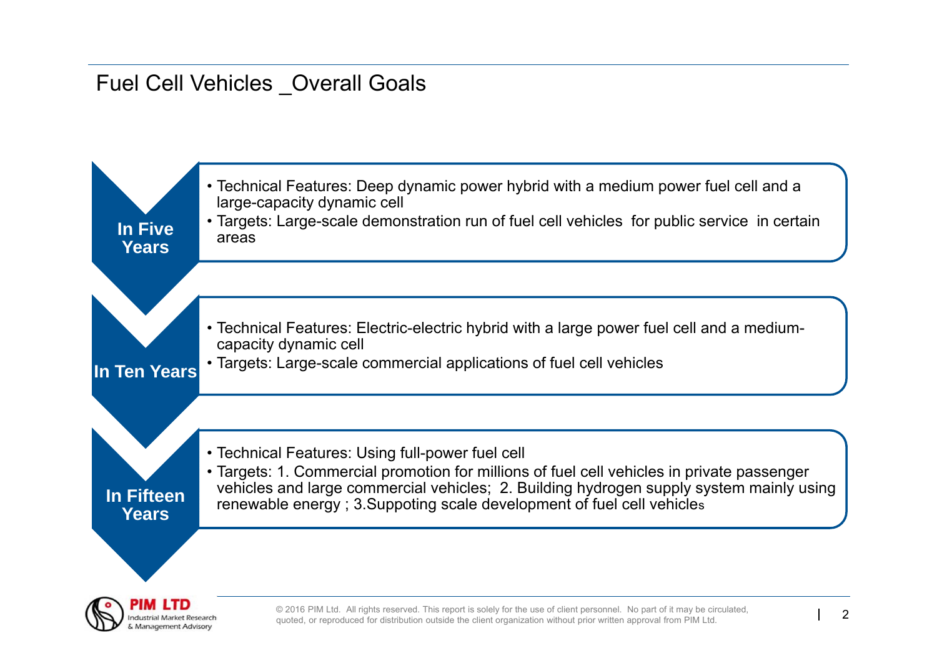# Fuel Cell Vehicles \_Overall Goals

Management Advison

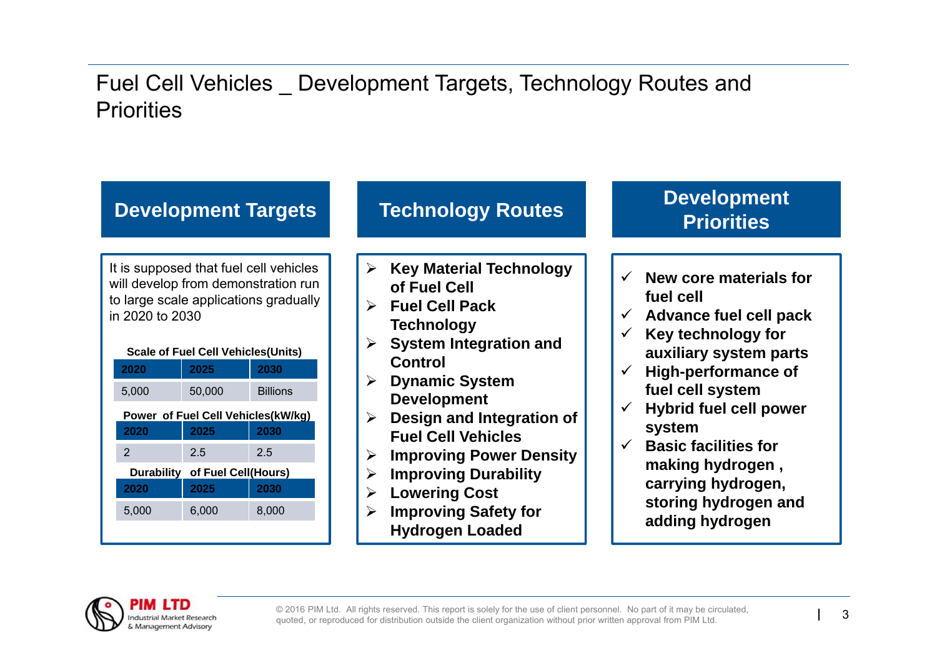### Fuel Cell Vehicles \_ Development Targets, Technology Routes and **Priorities**



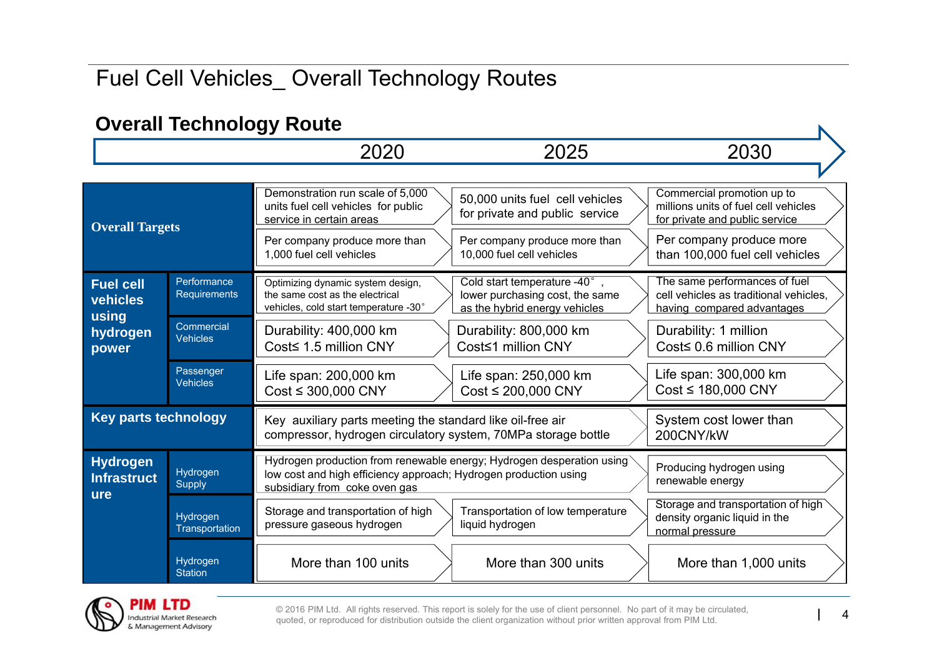# Fuel Cell Vehicles\_ Overall Technology Routes

### **Overall Technology Route**

| Overall Technology Route                            |                               |                                                                                                                                                                            |                                                                                                    |                                                                                                                                  |  |
|-----------------------------------------------------|-------------------------------|----------------------------------------------------------------------------------------------------------------------------------------------------------------------------|----------------------------------------------------------------------------------------------------|----------------------------------------------------------------------------------------------------------------------------------|--|
|                                                     |                               | 2020                                                                                                                                                                       | 2025                                                                                               | 2030                                                                                                                             |  |
|                                                     |                               |                                                                                                                                                                            |                                                                                                    |                                                                                                                                  |  |
| <b>Overall Targets</b>                              |                               | Demonstration run scale of 5,000<br>units fuel cell vehicles for public<br>service in certain areas<br>Per company produce more than                                       | 50,000 units fuel cell vehicles<br>for private and public service<br>Per company produce more than | Commercial promotion up to<br>millions units of fuel cell vehicles<br>for private and public service<br>Per company produce more |  |
|                                                     |                               | 1,000 fuel cell vehicles                                                                                                                                                   | 10,000 fuel cell vehicles                                                                          | than 100,000 fuel cell vehicles                                                                                                  |  |
| <b>Fuel cell</b><br>vehicles<br>using               | Performance<br>Requirements   | Optimizing dynamic system design,<br>the same cost as the electrical<br>vehicles, cold start temperature -30°                                                              | Cold start temperature -40°,<br>lower purchasing cost, the same<br>as the hybrid energy vehicles   | The same performances of fuel<br>cell vehicles as traditional vehicles.<br>having compared advantages                            |  |
| hydrogen<br>power                                   | Commercial<br><b>Vehicles</b> | Durability: 400,000 km<br>Cost≤ 1.5 million CNY                                                                                                                            | Durability: 800,000 km<br>Cost≤1 million CNY                                                       | Durability: 1 million<br>Cost≤ 0.6 million CNY                                                                                   |  |
|                                                     | Passenger<br><b>Vehicles</b>  | Life span: 200,000 km<br>$Cost \leq 300,000$ CNY                                                                                                                           | Life span: 250,000 km<br>$Cost \leq 200,000$ CNY                                                   | Life span: 300,000 km<br>$Cost \leq 180,000$ CNY                                                                                 |  |
| <b>Key parts technology</b>                         |                               | Key auxiliary parts meeting the standard like oil-free air<br>compressor, hydrogen circulatory system, 70MPa storage bottle                                                |                                                                                                    | System cost lower than<br>200CNY/kW                                                                                              |  |
| <b>Hydrogen</b><br><b>Infrastruct</b><br><b>ure</b> | Hydrogen<br><b>Supply</b>     | Hydrogen production from renewable energy; Hydrogen desperation using<br>low cost and high efficiency approach; Hydrogen production using<br>subsidiary from coke oven gas |                                                                                                    | Producing hydrogen using<br>renewable energy                                                                                     |  |
|                                                     | Hydrogen<br>Transportation    | Storage and transportation of high<br>pressure gaseous hydrogen                                                                                                            | Transportation of low temperature<br>liquid hydrogen                                               | Storage and transportation of high<br>density organic liquid in the<br>normal pressure                                           |  |
|                                                     | Hydrogen<br><b>Station</b>    | More than 100 units                                                                                                                                                        | More than 300 units                                                                                | More than 1,000 units                                                                                                            |  |



© 2016 PIM Ltd. All rights reserved. This report is solely for the use of client personnel. No part of it may be circulated, quoted, or reproduced for distribution outside the client organization without prior written appr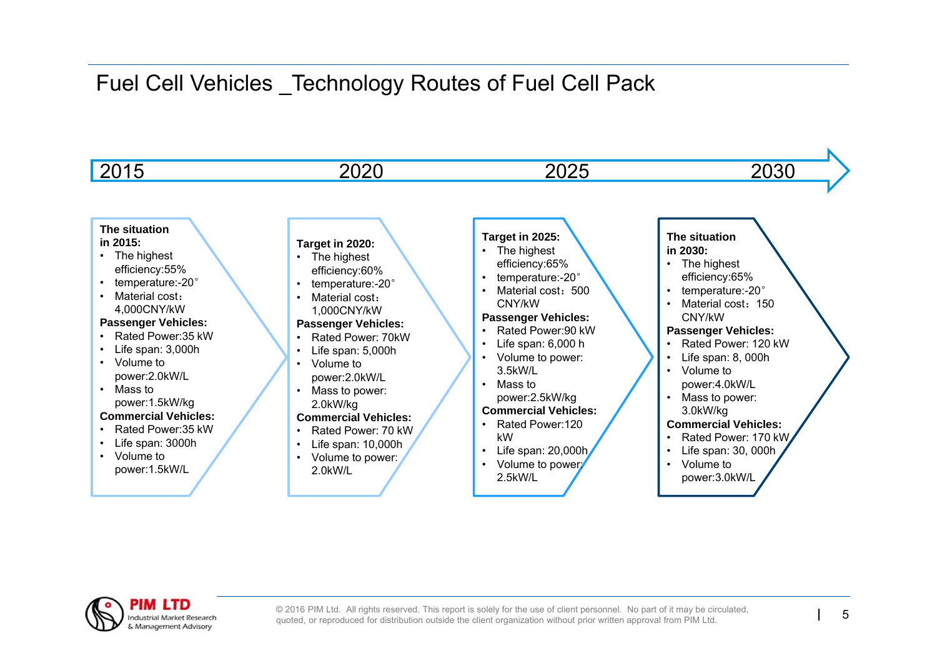## Fuel Cell Vehicles \_Technology Routes of Fuel Cell Pack



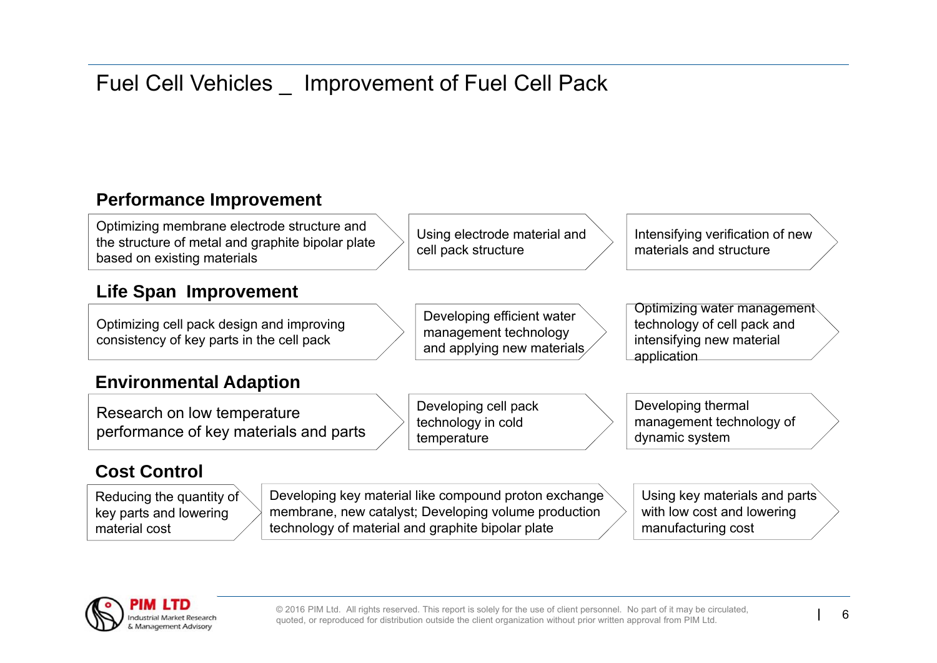# Fuel Cell Vehicles \_ Improvement of Fuel Cell Pack

### **Performance Improvement**

Optimizing membrane electrode structure and the structure of metal and graphite bipolar plate based on existing materials

### **Life Span Improvement**

Optimizing cell pack design and improving consistency of key parts in the cell pack

#### **Environmental Adaption**

Research on low temperature performance of key materials and parts

### **Cost Control**

Reducing the quantity of key parts and lowering material cost

Developing key material like compound proton exchange membrane, new catalyst; Developing volume production technology of material and graphite bipolar plate

temperature

Using key materials and parts with low cost and lowering manufacturing cost



© 2016 PIM Ltd. All rights reserved. This report is solely for the use of client personnel. No part of it may be circulated, quoted, or reproduced for distribution outside the client organization without prior written appr

Using electrode material and

Developing efficient water management technology and applying new materials

cell pack structure

Developing cell pack technology in cold

Intensifying verification of new materials and structure

Optimizing water management technology of cell pack and intensifying new material application

Developing thermal management technology of dynamic system